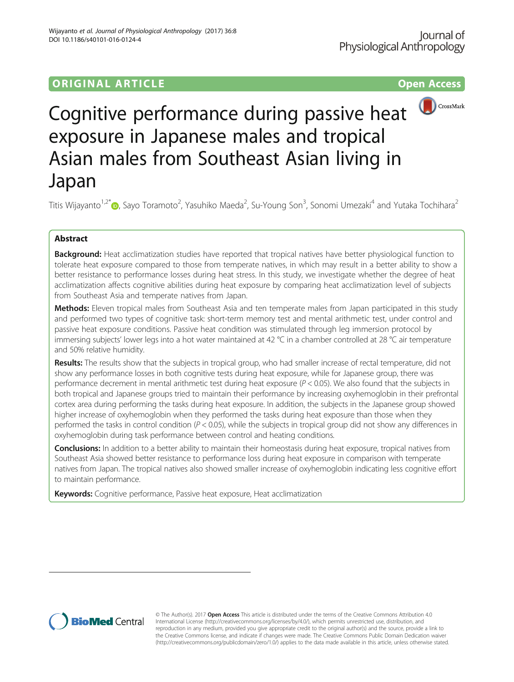## **ORIGINAL ARTICLE CONSERVATION CONSERVATION**



# Cognitive performance during passive heat exposure in Japanese males and tropical Asian males from Southeast Asian living in Japan

Titis Wijayanto<sup>1[,](http://orcid.org/0000-0001-5488-5340)2\*</sup>@, Sayo Toramoto<sup>2</sup>, Yasuhiko Maeda<sup>2</sup>, Su-Young Son<sup>3</sup>, Sonomi Umezaki<sup>4</sup> and Yutaka Tochihara<sup>2</sup>

## Abstract

Background: Heat acclimatization studies have reported that tropical natives have better physiological function to tolerate heat exposure compared to those from temperate natives, in which may result in a better ability to show a better resistance to performance losses during heat stress. In this study, we investigate whether the degree of heat acclimatization affects cognitive abilities during heat exposure by comparing heat acclimatization level of subjects from Southeast Asia and temperate natives from Japan.

Methods: Eleven tropical males from Southeast Asia and ten temperate males from Japan participated in this study and performed two types of cognitive task: short-term memory test and mental arithmetic test, under control and passive heat exposure conditions. Passive heat condition was stimulated through leg immersion protocol by immersing subjects' lower legs into a hot water maintained at 42 °C in a chamber controlled at 28 °C air temperature and 50% relative humidity.

Results: The results show that the subjects in tropical group, who had smaller increase of rectal temperature, did not show any performance losses in both cognitive tests during heat exposure, while for Japanese group, there was performance decrement in mental arithmetic test during heat exposure ( $P < 0.05$ ). We also found that the subjects in both tropical and Japanese groups tried to maintain their performance by increasing oxyhemoglobin in their prefrontal cortex area during performing the tasks during heat exposure. In addition, the subjects in the Japanese group showed higher increase of oxyhemoglobin when they performed the tasks during heat exposure than those when they performed the tasks in control condition ( $P < 0.05$ ), while the subjects in tropical group did not show any differences in oxyhemoglobin during task performance between control and heating conditions.

Conclusions: In addition to a better ability to maintain their homeostasis during heat exposure, tropical natives from Southeast Asia showed better resistance to performance loss during heat exposure in comparison with temperate natives from Japan. The tropical natives also showed smaller increase of oxyhemoglobin indicating less cognitive effort to maintain performance.

Keywords: Cognitive performance, Passive heat exposure, Heat acclimatization



© The Author(s). 2017 **Open Access** This article is distributed under the terms of the Creative Commons Attribution 4.0 International License [\(http://creativecommons.org/licenses/by/4.0/](http://creativecommons.org/licenses/by/4.0/)), which permits unrestricted use, distribution, and reproduction in any medium, provided you give appropriate credit to the original author(s) and the source, provide a link to the Creative Commons license, and indicate if changes were made. The Creative Commons Public Domain Dedication waiver [\(http://creativecommons.org/publicdomain/zero/1.0/](http://creativecommons.org/publicdomain/zero/1.0/)) applies to the data made available in this article, unless otherwise stated.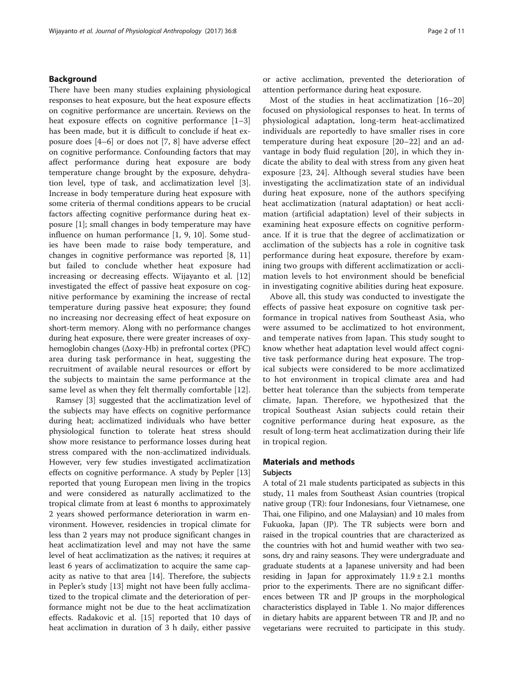## Background

There have been many studies explaining physiological responses to heat exposure, but the heat exposure effects on cognitive performance are uncertain. Reviews on the heat exposure effects on cognitive performance [[1](#page-9-0)–[3](#page-9-0)] has been made, but it is difficult to conclude if heat exposure does [[4](#page-9-0)–[6\]](#page-9-0) or does not [\[7](#page-9-0), [8\]](#page-9-0) have adverse effect on cognitive performance. Confounding factors that may affect performance during heat exposure are body temperature change brought by the exposure, dehydration level, type of task, and acclimatization level [\[3](#page-9-0)]. Increase in body temperature during heat exposure with some criteria of thermal conditions appears to be crucial factors affecting cognitive performance during heat exposure [[1](#page-9-0)]; small changes in body temperature may have influence on human performance [[1, 9](#page-9-0), [10](#page-9-0)]. Some studies have been made to raise body temperature, and changes in cognitive performance was reported [[8, 11](#page-9-0)] but failed to conclude whether heat exposure had increasing or decreasing effects. Wijayanto et al. [\[12](#page-9-0)] investigated the effect of passive heat exposure on cognitive performance by examining the increase of rectal temperature during passive heat exposure; they found no increasing nor decreasing effect of heat exposure on short-term memory. Along with no performance changes during heat exposure, there were greater increases of oxyhemoglobin changes (Δoxy-Hb) in prefrontal cortex (PFC) area during task performance in heat, suggesting the recruitment of available neural resources or effort by the subjects to maintain the same performance at the same level as when they felt thermally comfortable [[12\]](#page-9-0).

Ramsey [[3\]](#page-9-0) suggested that the acclimatization level of the subjects may have effects on cognitive performance during heat; acclimatized individuals who have better physiological function to tolerate heat stress should show more resistance to performance losses during heat stress compared with the non-acclimatized individuals. However, very few studies investigated acclimatization effects on cognitive performance. A study by Pepler [[13](#page-9-0)] reported that young European men living in the tropics and were considered as naturally acclimatized to the tropical climate from at least 6 months to approximately 2 years showed performance deterioration in warm environment. However, residencies in tropical climate for less than 2 years may not produce significant changes in heat acclimatization level and may not have the same level of heat acclimatization as the natives; it requires at least 6 years of acclimatization to acquire the same capacity as native to that area [[14\]](#page-9-0). Therefore, the subjects in Pepler's study [[13](#page-9-0)] might not have been fully acclimatized to the tropical climate and the deterioration of performance might not be due to the heat acclimatization effects. Radakovic et al. [\[15](#page-9-0)] reported that 10 days of heat acclimation in duration of 3 h daily, either passive

or active acclimation, prevented the deterioration of attention performance during heat exposure.

Most of the studies in heat acclimatization [\[16](#page-9-0)–[20](#page-9-0)] focused on physiological responses to heat. In terms of physiological adaptation, long-term heat-acclimatized individuals are reportedly to have smaller rises in core temperature during heat exposure [[20](#page-9-0)–[22](#page-9-0)] and an advantage in body fluid regulation [[20\]](#page-9-0), in which they indicate the ability to deal with stress from any given heat exposure [[23, 24](#page-9-0)]. Although several studies have been investigating the acclimatization state of an individual during heat exposure, none of the authors specifying heat acclimatization (natural adaptation) or heat acclimation (artificial adaptation) level of their subjects in examining heat exposure effects on cognitive performance. If it is true that the degree of acclimatization or acclimation of the subjects has a role in cognitive task performance during heat exposure, therefore by examining two groups with different acclimatization or acclimation levels to hot environment should be beneficial in investigating cognitive abilities during heat exposure.

Above all, this study was conducted to investigate the effects of passive heat exposure on cognitive task performance in tropical natives from Southeast Asia, who were assumed to be acclimatized to hot environment, and temperate natives from Japan. This study sought to know whether heat adaptation level would affect cognitive task performance during heat exposure. The tropical subjects were considered to be more acclimatized to hot environment in tropical climate area and had better heat tolerance than the subjects from temperate climate, Japan. Therefore, we hypothesized that the tropical Southeast Asian subjects could retain their cognitive performance during heat exposure, as the result of long-term heat acclimatization during their life in tropical region.

## Materials and methods Subjects

A total of 21 male students participated as subjects in this study, 11 males from Southeast Asian countries (tropical native group (TR): four Indonesians, four Vietnamese, one Thai, one Filipino, and one Malaysian) and 10 males from Fukuoka, Japan (JP). The TR subjects were born and raised in the tropical countries that are characterized as the countries with hot and humid weather with two seasons, dry and rainy seasons. They were undergraduate and graduate students at a Japanese university and had been residing in Japan for approximately  $11.9 \pm 2.1$  months prior to the experiments. There are no significant differences between TR and JP groups in the morphological characteristics displayed in Table [1](#page-2-0). No major differences in dietary habits are apparent between TR and JP, and no vegetarians were recruited to participate in this study.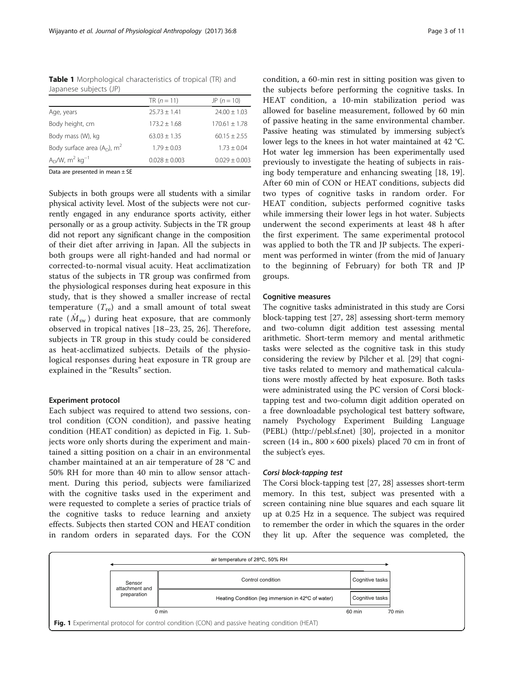<span id="page-2-0"></span>

| <b>Table 1</b> Morphological characteristics of tropical (TR) and |  |  |
|-------------------------------------------------------------------|--|--|
| Japanese subjects (JP)                                            |  |  |

|                                           | TR $(n = 11)$     | $JP (n = 10)$     |
|-------------------------------------------|-------------------|-------------------|
| Age, years                                | $25.73 + 1.41$    | $24.00 \pm 1.03$  |
| Body height, cm                           | $173.2 \pm 1.68$  | $170.61 + 1.78$   |
| Body mass (W), kg                         | $63.03 + 1.35$    | $60.15 + 2.55$    |
| Body surface area $(AD)$ , m <sup>2</sup> | $1.79 + 0.03$     | $1.73 \pm 0.04$   |
| $AD/W$ , m <sup>2</sup> kg <sup>-1</sup>  | $0.028 \pm 0.003$ | $0.029 \pm 0.003$ |
|                                           |                   |                   |

Data are presented in mean ± SE

Subjects in both groups were all students with a similar physical activity level. Most of the subjects were not currently engaged in any endurance sports activity, either personally or as a group activity. Subjects in the TR group did not report any significant change in the composition of their diet after arriving in Japan. All the subjects in both groups were all right-handed and had normal or corrected-to-normal visual acuity. Heat acclimatization status of the subjects in TR group was confirmed from the physiological responses during heat exposure in this study, that is they showed a smaller increase of rectal temperature  $(T_{\text{re}})$  and a small amount of total sweat rate  $(M_{\rm sw})$  during heat exposure, that are commonly observed in tropical natives [\[18](#page-9-0)–[23](#page-9-0), [25](#page-9-0), [26](#page-9-0)]. Therefore, subjects in TR group in this study could be considered as heat-acclimatized subjects. Details of the physiological responses during heat exposure in TR group are explained in the "[Results](#page-4-0)" section.

## Experiment protocol

Each subject was required to attend two sessions, control condition (CON condition), and passive heating condition (HEAT condition) as depicted in Fig. 1. Subjects wore only shorts during the experiment and maintained a sitting position on a chair in an environmental chamber maintained at an air temperature of 28 °C and 50% RH for more than 40 min to allow sensor attachment. During this period, subjects were familiarized with the cognitive tasks used in the experiment and were requested to complete a series of practice trials of the cognitive tasks to reduce learning and anxiety effects. Subjects then started CON and HEAT condition in random orders in separated days. For the CON condition, a 60-min rest in sitting position was given to the subjects before performing the cognitive tasks. In HEAT condition, a 10-min stabilization period was allowed for baseline measurement, followed by 60 min of passive heating in the same environmental chamber. Passive heating was stimulated by immersing subject's lower legs to the knees in hot water maintained at 42 °C. Hot water leg immersion has been experimentally used previously to investigate the heating of subjects in raising body temperature and enhancing sweating [\[18](#page-9-0), [19](#page-9-0)]. After 60 min of CON or HEAT conditions, subjects did two types of cognitive tasks in random order. For HEAT condition, subjects performed cognitive tasks while immersing their lower legs in hot water. Subjects underwent the second experiments at least 48 h after the first experiment. The same experimental protocol was applied to both the TR and JP subjects. The experiment was performed in winter (from the mid of January to the beginning of February) for both TR and JP groups.

## Cognitive measures

The cognitive tasks administrated in this study are Corsi block-tapping test [\[27](#page-9-0), [28\]](#page-9-0) assessing short-term memory and two-column digit addition test assessing mental arithmetic. Short-term memory and mental arithmetic tasks were selected as the cognitive task in this study considering the review by Pilcher et al. [\[29\]](#page-9-0) that cognitive tasks related to memory and mathematical calculations were mostly affected by heat exposure. Both tasks were administrated using the PC version of Corsi blocktapping test and two-column digit addition operated on a free downloadable psychological test battery software, namely Psychology Experiment Building Language (PEBL) ([http://pebl.sf.net\)](http://pebl.sf.net) [\[30\]](#page-9-0), projected in a monitor screen (14 in.,  $800 \times 600$  pixels) placed 70 cm in front of the subject's eyes.

## Corsi block-tapping test

The Corsi block-tapping test [[27](#page-9-0), [28](#page-9-0)] assesses short-term memory. In this test, subject was presented with a screen containing nine blue squares and each square lit up at 0.25 Hz in a sequence. The subject was required to remember the order in which the squares in the order they lit up. After the sequence was completed, the

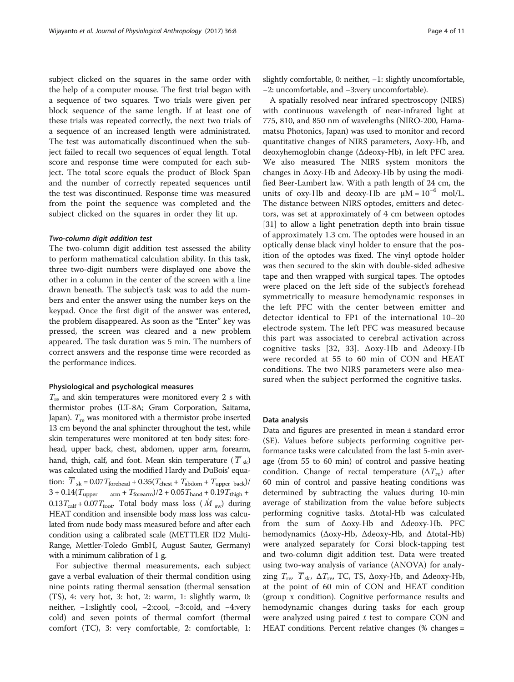subject clicked on the squares in the same order with the help of a computer mouse. The first trial began with a sequence of two squares. Two trials were given per block sequence of the same length. If at least one of these trials was repeated correctly, the next two trials of a sequence of an increased length were administrated. The test was automatically discontinued when the subject failed to recall two sequences of equal length. Total score and response time were computed for each subject. The total score equals the product of Block Span and the number of correctly repeated sequences until the test was discontinued. Response time was measured from the point the sequence was completed and the subject clicked on the squares in order they lit up.

## Two-column digit addition test

The two-column digit addition test assessed the ability to perform mathematical calculation ability. In this task, three two-digit numbers were displayed one above the other in a column in the center of the screen with a line drawn beneath. The subject's task was to add the numbers and enter the answer using the number keys on the keypad. Once the first digit of the answer was entered, the problem disappeared. As soon as the "Enter" key was pressed, the screen was cleared and a new problem appeared. The task duration was 5 min. The numbers of correct answers and the response time were recorded as the performance indices.

#### Physiological and psychological measures

 $T_{\text{re}}$  and skin temperatures were monitored every 2 s with thermistor probes (LT-8A; Gram Corporation, Saitama, Japan).  $T_{\text{re}}$  was monitored with a thermistor probe inserted 13 cm beyond the anal sphincter throughout the test, while skin temperatures were monitored at ten body sites: forehead, upper back, chest, abdomen, upper arm, forearm, hand, thigh, calf, and foot. Mean skin temperature  $(\overline{T}_{sk})$ was calculated using the modified Hardy and DuBois' equation:  $\overline{T}_{\text{sk}} = 0.07 T_{\text{forehead}} + 0.35 (T_{\text{check}} + T_{\text{abdom}} + T_{\text{upper back}})$  $3 + 0.14 (T_{\mathrm{upper}} \hspace{1em}\mathrm{_{arm}} + T_{\mathrm{forearm}}) / 2 + 0.05 T_{\mathrm{hand}} + 0.19 T_{\mathrm{thigh}} +$  $0.13T_{\text{calf}} + 0.07T_{\text{foot}}$ . Total body mass loss ( $\dot{M}$ <sub>sw</sub>) during HEAT condition and insensible body mass loss was calculated from nude body mass measured before and after each condition using a calibrated scale (METTLER ID2 Multi-Range, Mettler-Toledo GmbH, August Sauter, Germany) with a minimum calibration of 1 g.

For subjective thermal measurements, each subject gave a verbal evaluation of their thermal condition using nine points rating thermal sensation (thermal sensation (TS), 4: very hot, 3: hot, 2: warm, 1: slightly warm, 0: neither, −1:slightly cool, −2:cool, −3:cold, and −4:very cold) and seven points of thermal comfort (thermal comfort (TC), 3: very comfortable, 2: comfortable, 1: slightly comfortable, 0: neither, −1: slightly uncomfortable, −2: uncomfortable, and −3:very uncomfortable).

A spatially resolved near infrared spectroscopy (NIRS) with continuous wavelength of near-infrared light at 775, 810, and 850 nm of wavelengths (NIRO-200, Hamamatsu Photonics, Japan) was used to monitor and record quantitative changes of NIRS parameters, Δoxy-Hb, and deoxyhemoglobin change (Δdeoxy-Hb), in left PFC area. We also measured The NIRS system monitors the changes in Δoxy-Hb and Δdeoxy-Hb by using the modified Beer-Lambert law. With a path length of 24 cm, the units of oxy-Hb and deoxy-Hb are  $\mu$ M = 10<sup>-6</sup> mol/L. The distance between NIRS optodes, emitters and detectors, was set at approximately of 4 cm between optodes [[31\]](#page-9-0) to allow a light penetration depth into brain tissue of approximately 1.3 cm. The optodes were housed in an optically dense black vinyl holder to ensure that the position of the optodes was fixed. The vinyl optode holder was then secured to the skin with double-sided adhesive tape and then wrapped with surgical tapes. The optodes were placed on the left side of the subject's forehead symmetrically to measure hemodynamic responses in the left PFC with the center between emitter and detector identical to FP1 of the international 10–20 electrode system. The left PFC was measured because this part was associated to cerebral activation across cognitive tasks [[32](#page-9-0), [33\]](#page-9-0). Δoxy-Hb and Δdeoxy-Hb were recorded at 55 to 60 min of CON and HEAT conditions. The two NIRS parameters were also measured when the subject performed the cognitive tasks.

## Data analysis

Data and figures are presented in mean ± standard error (SE). Values before subjects performing cognitive performance tasks were calculated from the last 5-min average (from 55 to 60 min) of control and passive heating condition. Change of rectal temperature  $(\Delta T_{\text{re}})$  after 60 min of control and passive heating conditions was determined by subtracting the values during 10-min average of stabilization from the value before subjects performing cognitive tasks. Δtotal-Hb was calculated from the sum of Δoxy-Hb and Δdeoxy-Hb. PFC hemodynamics (Δoxy-Hb, Δdeoxy-Hb, and Δtotal-Hb) were analyzed separately for Corsi block-tapping test and two-column digit addition test. Data were treated using two-way analysis of variance (ANOVA) for analyzing  $T_{\rm re}$ ,  $\overline{T}_{\rm sk}$ ,  $\Delta T_{\rm re}$ , TC, TS,  $\Delta$ oxy-Hb, and  $\Delta$ deoxy-Hb, at the point of 60 min of CON and HEAT condition (group x condition). Cognitive performance results and hemodynamic changes during tasks for each group were analyzed using paired  $t$  test to compare CON and HEAT conditions. Percent relative changes (% changes =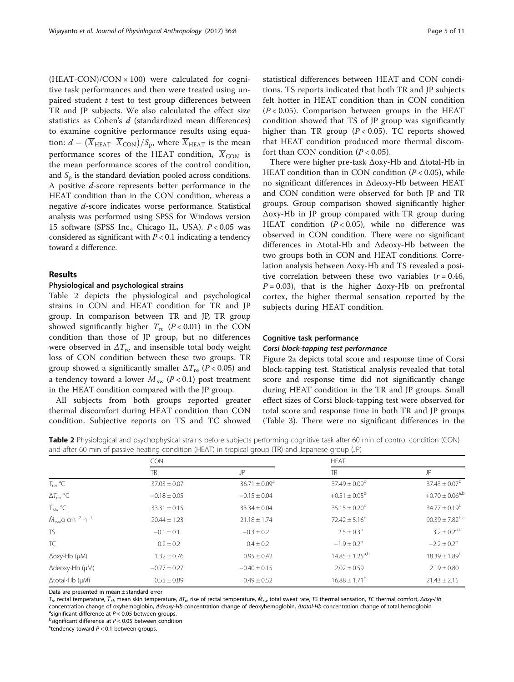<span id="page-4-0"></span> $(HEAT-CON)/CON \times 100$  were calculated for cognitive task performances and then were treated using unpaired student  $t$  test to test group differences between TR and JP subjects. We also calculated the effect size statistics as Cohen's d (standardized mean differences) to examine cognitive performance results using equation:  $d = (\overline{X}_{\text{HEAT}} - \overline{X}_{\text{CON}})/S_p$ , where  $\overline{X}_{\text{HEAT}}$  is the mean performance scores of the HEAT condition,  $\overline{X}_{CON}$  is the mean performance scores of the control condition, and  $S_p$  is the standard deviation pooled across conditions. A positive d-score represents better performance in the HEAT condition than in the CON condition, whereas a negative d-score indicates worse performance. Statistical analysis was performed using SPSS for Windows version 15 software (SPSS Inc., Chicago IL, USA).  $P < 0.05$  was considered as significant with  $P < 0.1$  indicating a tendency toward a difference.

## Results

## Physiological and psychological strains

Table 2 depicts the physiological and psychological strains in CON and HEAT condition for TR and JP group. In comparison between TR and JP, TR group showed significantly higher  $T_{\text{re}}$  ( $P < 0.01$ ) in the CON condition than those of JP group, but no differences were observed in  $\Delta T_{\text{re}}$  and insensible total body weight loss of CON condition between these two groups. TR group showed a significantly smaller  $\Delta T_{\rm re}$  (P < 0.05) and a tendency toward a lower  $M_{\rm sw}$  (P < 0.1) post treatment in the HEAT condition compared with the JP group.

All subjects from both groups reported greater thermal discomfort during HEAT condition than CON condition. Subjective reports on TS and TC showed statistical differences between HEAT and CON conditions. TS reports indicated that both TR and JP subjects felt hotter in HEAT condition than in CON condition  $(P < 0.05)$ . Comparison between groups in the HEAT condition showed that TS of JP group was significantly higher than TR group  $(P < 0.05)$ . TC reports showed that HEAT condition produced more thermal discomfort than CON condition  $(P < 0.05)$ .

There were higher pre-task Δoxy-Hb and Δtotal-Hb in HEAT condition than in CON condition  $(P < 0.05)$ , while no significant differences in Δdeoxy-Hb between HEAT and CON condition were observed for both JP and TR groups. Group comparison showed significantly higher Δoxy-Hb in JP group compared with TR group during HEAT condition  $(P < 0.05)$ , while no difference was observed in CON condition. There were no significant differences in Δtotal-Hb and Δdeoxy-Hb between the two groups both in CON and HEAT conditions. Correlation analysis between Δoxy-Hb and TS revealed a positive correlation between these two variables  $(r = 0.46,$  $P = 0.03$ ), that is the higher  $\Delta$ oxy-Hb on prefrontal cortex, the higher thermal sensation reported by the subjects during HEAT condition.

## Cognitive task performance

## Corsi block-tapping test performance

Figure [2a](#page-5-0) depicts total score and response time of Corsi block-tapping test. Statistical analysis revealed that total score and response time did not significantly change during HEAT condition in the TR and JP groups. Small effect sizes of Corsi block-tapping test were observed for total score and response time in both TR and JP groups (Table [3\)](#page-5-0). There were no significant differences in the

Table 2 Physiological and psychophysical strains before subjects performing cognitive task after 60 min of control condition (CON) and after 60 min of passive heating condition (HEAT) in tropical group (TR) and Japanese group (JP)

|                                                          | <b>CON</b>       |                    | <b>HEAT</b>              |                        |
|----------------------------------------------------------|------------------|--------------------|--------------------------|------------------------|
|                                                          | <b>TR</b>        | JP                 | TR.                      | JP                     |
| $T_{\text{re}}$ , °C                                     | $37.03 \pm 0.07$ | $36.71 \pm 0.09^a$ | $37.49 \pm 0.09^b$       | $37.43 \pm 0.07^b$     |
| $\Delta T_{\text{re}}$ , °C                              | $-0.18 \pm 0.05$ | $-0.15 \pm 0.04$   | $+0.51 \pm 0.05^{\circ}$ | $+0.70 \pm 0.06^{a,b}$ |
| $\overline{T}_{\text{skr}}$ °C                           | $33.31 \pm 0.15$ | $33.34 \pm 0.04$   | $35.15 \pm 0.20^{\circ}$ | $34.77 \pm 0.19^b$     |
| $\dot{M}_{\text{sw}}$ g cm <sup>-2</sup> h <sup>-1</sup> | $20.44 \pm 1.23$ | $21.18 \pm 1.74$   | $72.42 \pm 5.16^b$       | $90.39 \pm 7.82^{b,c}$ |
| <b>TS</b>                                                | $-0.1 \pm 0.1$   | $-0.3 \pm 0.2$     | $2.5 \pm 0.3^{b}$        | $3.2 \pm 0.2^{a,b}$    |
| TC                                                       | $0.2 \pm 0.2$    | $0.4 \pm 0.2$      | $-1.9 \pm 0.2^b$         | $-2.2 \pm 0.2^b$       |
| Δoxy-Hb (μM)                                             | $1.32 \pm 0.76$  | $0.95 \pm 0.42$    | $14.85 \pm 1.25^{a,b}$   | $18.39 \pm 1.89^b$     |
| $\Delta$ deoxy-Hb (µM)                                   | $-0.77 \pm 0.27$ | $-0.40 \pm 0.15$   | $2.02 \pm 0.59$          | $2.19 \pm 0.80$        |
| $\Delta$ total-Hb ( $\mu$ M)                             | $0.55 \pm 0.89$  | $0.49 \pm 0.52$    | $16.88 \pm 1.71^{\circ}$ | $21.43 \pm 2.15$       |

Data are presented in mean ± standard error

 $T_{re}$  rectal temperature,  $\overline{T}_{sk}$  mean skin temperature,  $\Delta T_{re}$  rise of rectal temperature,  $\dot{M}_{sw}$  total sweat rate, TS thermal sensation, TC thermal comfort, Δoxy-Hb concentration change of oxyhemoglobin, <sup>Δ</sup>deoxy-Hb concentration change of deoxyhemoglobin, <sup>Δ</sup>total-Hb concentration change of total hemoglobin <sup>a</sup>

asignificant difference at  $P < 0.05$  between groups.  $<sup>b</sup>$ significant difference at  $P < 0.05$  between condition</sup>

'tendency toward  $P < 0.1$  between groups.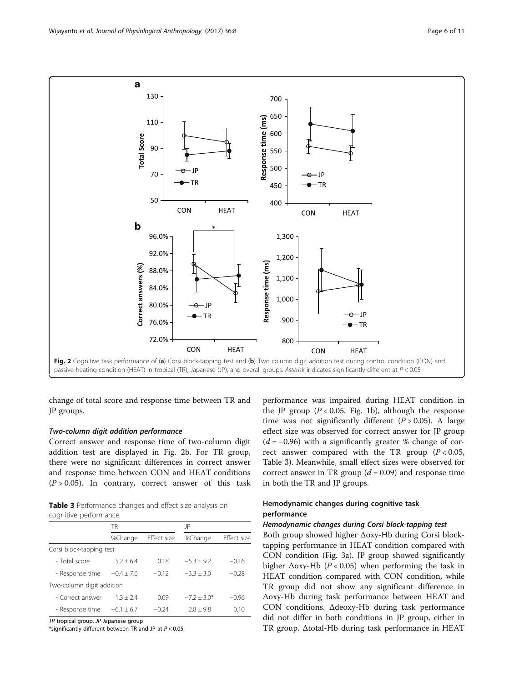

<span id="page-5-0"></span>

change of total score and response time between TR and JP groups.

#### Two-column digit addition performance

Correct answer and response time of two-column digit addition test are displayed in Fig. 2b. For TR group, there were no significant differences in correct answer and response time between CON and HEAT conditions  $(P > 0.05)$ . In contrary, correct answer of this task

Table 3 Performance changes and effect size analysis on cognitive performance

|                           | TR             |             | JP            |             |
|---------------------------|----------------|-------------|---------------|-------------|
|                           | %Change        | Effect size | %Change       | Effect size |
| Corsi block-tapping test  |                |             |               |             |
| - Total score             | $5.2 + 6.4$    | 0.18        | $-5.3 + 9.2$  | $-0.16$     |
| - Response time           | $-0.4 + 7.6$   | $-0.12$     | $-3.3 + 3.0$  | $-0.28$     |
| Two-column digit addition |                |             |               |             |
| - Correct answer          | $1.3 + 2.4$    | 0.09        | $-7.2 + 3.0*$ | $-0.96$     |
| - Response time           | $-6.1 \pm 6.7$ | $-0.24$     | $7.8 + 9.8$   | 0.10        |

TR tropical group, JP Japanese group

\*significantly different between TR and JP at  $P < 0.05$ 

performance was impaired during HEAT condition in the JP group ( $P < 0.05$ , Fig. [1b\)](#page-2-0), although the response time was not significantly different  $(P > 0.05)$ . A large effect size was observed for correct answer for JP group  $(d = -0.96)$  with a significantly greater % change of correct answer compared with the TR group  $(P < 0.05$ , Table 3). Meanwhile, small effect sizes were observed for correct answer in TR group  $(d = 0.09)$  and response time in both the TR and JP groups.

## Hemodynamic changes during cognitive task performance

#### Hemodynamic changes during Corsi block-tapping test

Both group showed higher Δoxy-Hb during Corsi blocktapping performance in HEAT condition compared with CON condition (Fig. [3a\)](#page-6-0). JP group showed significantly higher  $\Delta$ oxy-Hb (P < 0.05) when performing the task in HEAT condition compared with CON condition, while TR group did not show any significant difference in Δoxy-Hb during task performance between HEAT and CON conditions. Δdeoxy-Hb during task performance did not differ in both conditions in JP group, either in TR group. Δtotal-Hb during task performance in HEAT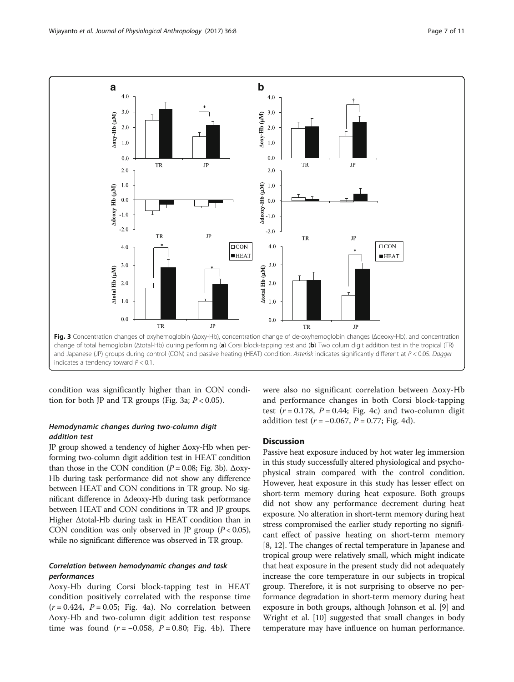<span id="page-6-0"></span>

condition was significantly higher than in CON condition for both JP and TR groups (Fig. 3a;  $P < 0.05$ ).

## Hemodynamic changes during two-column digit addition test

JP group showed a tendency of higher Δoxy-Hb when performing two-column digit addition test in HEAT condition than those in the CON condition  $(P = 0.08; Fig. 3b)$ . Δoxy-Hb during task performance did not show any difference between HEAT and CON conditions in TR group. No significant difference in Δdeoxy-Hb during task performance between HEAT and CON conditions in TR and JP groups. Higher Δtotal-Hb during task in HEAT condition than in CON condition was only observed in JP group  $(P < 0.05)$ , while no significant difference was observed in TR group.

## Correlation between hemodynamic changes and task performances

Δoxy-Hb during Corsi block-tapping test in HEAT condition positively correlated with the response time  $(r = 0.424, P = 0.05; Fig. 4a)$  $(r = 0.424, P = 0.05; Fig. 4a)$ . No correlation between Δoxy-Hb and two-column digit addition test response time was found ( $r = -0.058$ ,  $P = 0.80$ ; Fig. [4b\)](#page-7-0). There were also no significant correlation between Δoxy-Hb and performance changes in both Corsi block-tapping test ( $r = 0.178$ ,  $P = 0.44$ ; Fig. [4c\)](#page-7-0) and two-column digit addition test ( $r = -0.067$ ,  $P = 0.77$ ; Fig. [4d\)](#page-7-0).

## **Discussion**

Passive heat exposure induced by hot water leg immersion in this study successfully altered physiological and psychophysical strain compared with the control condition. However, heat exposure in this study has lesser effect on short-term memory during heat exposure. Both groups did not show any performance decrement during heat exposure. No alteration in short-term memory during heat stress compromised the earlier study reporting no significant effect of passive heating on short-term memory [[8, 12](#page-9-0)]. The changes of rectal temperature in Japanese and tropical group were relatively small, which might indicate that heat exposure in the present study did not adequately increase the core temperature in our subjects in tropical group. Therefore, it is not surprising to observe no performance degradation in short-term memory during heat exposure in both groups, although Johnson et al. [\[9](#page-9-0)] and Wright et al. [[10](#page-9-0)] suggested that small changes in body temperature may have influence on human performance.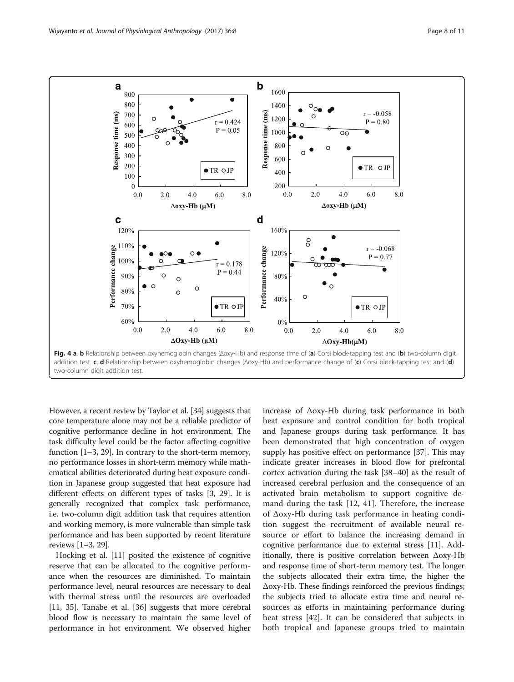<span id="page-7-0"></span>

However, a recent review by Taylor et al. [[34\]](#page-9-0) suggests that core temperature alone may not be a reliable predictor of cognitive performance decline in hot environment. The task difficulty level could be the factor affecting cognitive function [\[1](#page-9-0)–[3, 29](#page-9-0)]. In contrary to the short-term memory, no performance losses in short-term memory while mathematical abilities deteriorated during heat exposure condition in Japanese group suggested that heat exposure had different effects on different types of tasks [[3, 29\]](#page-9-0). It is generally recognized that complex task performance, i.e. two-column digit addition task that requires attention and working memory, is more vulnerable than simple task performance and has been supported by recent literature reviews [\[1](#page-9-0)–[3, 29\]](#page-9-0).

Hocking et al. [[11\]](#page-9-0) posited the existence of cognitive reserve that can be allocated to the cognitive performance when the resources are diminished. To maintain performance level, neural resources are necessary to deal with thermal stress until the resources are overloaded [[11, 35\]](#page-9-0). Tanabe et al. [[36\]](#page-9-0) suggests that more cerebral blood flow is necessary to maintain the same level of performance in hot environment. We observed higher increase of Δoxy-Hb during task performance in both heat exposure and control condition for both tropical and Japanese groups during task performance. It has been demonstrated that high concentration of oxygen supply has positive effect on performance [\[37](#page-9-0)]. This may indicate greater increases in blood flow for prefrontal cortex activation during the task [\[38](#page-9-0)–[40\]](#page-10-0) as the result of increased cerebral perfusion and the consequence of an activated brain metabolism to support cognitive demand during the task [[12,](#page-9-0) [41\]](#page-10-0). Therefore, the increase of Δoxy-Hb during task performance in heating condition suggest the recruitment of available neural resource or effort to balance the increasing demand in cognitive performance due to external stress [[11](#page-9-0)]. Additionally, there is positive correlation between Δoxy-Hb and response time of short-term memory test. The longer the subjects allocated their extra time, the higher the Δoxy-Hb. These findings reinforced the previous findings; the subjects tried to allocate extra time and neural resources as efforts in maintaining performance during heat stress [[42\]](#page-10-0). It can be considered that subjects in both tropical and Japanese groups tried to maintain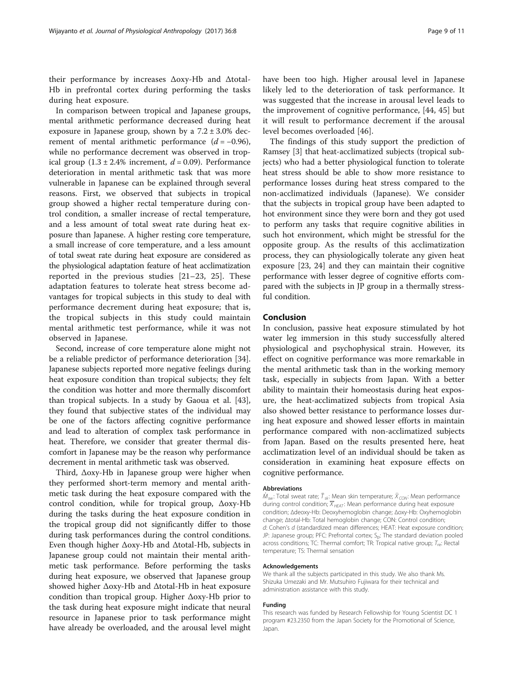their performance by increases Δoxy-Hb and Δtotal-Hb in prefrontal cortex during performing the tasks during heat exposure.

In comparison between tropical and Japanese groups, mental arithmetic performance decreased during heat exposure in Japanese group, shown by a  $7.2 \pm 3.0\%$  decrement of mental arithmetic performance  $(d = -0.96)$ , while no performance decrement was observed in tropical group  $(1.3 \pm 2.4\%)$  increment,  $d = 0.09$ ). Performance deterioration in mental arithmetic task that was more vulnerable in Japanese can be explained through several reasons. First, we observed that subjects in tropical group showed a higher rectal temperature during control condition, a smaller increase of rectal temperature, and a less amount of total sweat rate during heat exposure than Japanese. A higher resting core temperature, a small increase of core temperature, and a less amount of total sweat rate during heat exposure are considered as the physiological adaptation feature of heat acclimatization reported in the previous studies [\[21](#page-9-0)–[23](#page-9-0), [25](#page-9-0)]. These adaptation features to tolerate heat stress become advantages for tropical subjects in this study to deal with performance decrement during heat exposure; that is, the tropical subjects in this study could maintain mental arithmetic test performance, while it was not observed in Japanese.

Second, increase of core temperature alone might not be a reliable predictor of performance deterioration [\[34](#page-9-0)]. Japanese subjects reported more negative feelings during heat exposure condition than tropical subjects; they felt the condition was hotter and more thermally discomfort than tropical subjects. In a study by Gaoua et al. [\[43](#page-10-0)], they found that subjective states of the individual may be one of the factors affecting cognitive performance and lead to alteration of complex task performance in heat. Therefore, we consider that greater thermal discomfort in Japanese may be the reason why performance decrement in mental arithmetic task was observed.

Third, Δoxy-Hb in Japanese group were higher when they performed short-term memory and mental arithmetic task during the heat exposure compared with the control condition, while for tropical group, Δoxy-Hb during the tasks during the heat exposure condition in the tropical group did not significantly differ to those during task performances during the control conditions. Even though higher Δoxy-Hb and Δtotal-Hb, subjects in Japanese group could not maintain their mental arithmetic task performance. Before performing the tasks during heat exposure, we observed that Japanese group showed higher Δoxy-Hb and Δtotal-Hb in heat exposure condition than tropical group. Higher Δoxy-Hb prior to the task during heat exposure might indicate that neural resource in Japanese prior to task performance might have already be overloaded, and the arousal level might have been too high. Higher arousal level in Japanese likely led to the deterioration of task performance. It was suggested that the increase in arousal level leads to the improvement of cognitive performance, [[44](#page-10-0), [45](#page-10-0)] but it will result to performance decrement if the arousal level becomes overloaded [\[46](#page-10-0)].

The findings of this study support the prediction of Ramsey [\[3](#page-9-0)] that heat-acclimatized subjects (tropical subjects) who had a better physiological function to tolerate heat stress should be able to show more resistance to performance losses during heat stress compared to the non-acclimatized individuals (Japanese). We consider that the subjects in tropical group have been adapted to hot environment since they were born and they got used to perform any tasks that require cognitive abilities in such hot environment, which might be stressful for the opposite group. As the results of this acclimatization process, they can physiologically tolerate any given heat exposure [\[23](#page-9-0), [24\]](#page-9-0) and they can maintain their cognitive performance with lesser degree of cognitive efforts compared with the subjects in JP group in a thermally stressful condition.

## Conclusion

In conclusion, passive heat exposure stimulated by hot water leg immersion in this study successfully altered physiological and psychophysical strain. However, its effect on cognitive performance was more remarkable in the mental arithmetic task than in the working memory task, especially in subjects from Japan. With a better ability to maintain their homeostasis during heat exposure, the heat-acclimatized subjects from tropical Asia also showed better resistance to performance losses during heat exposure and showed lesser efforts in maintain performance compared with non-acclimatized subjects from Japan. Based on the results presented here, heat acclimatization level of an individual should be taken as consideration in examining heat exposure effects on cognitive performance.

#### Abbreviations

 $\dot{M}_{\rm sw}$ : Total sweat rate;  $\bar{\tau}_{\rm sk}$ : Mean skin temperature;  $\bar{X}_{\rm CON}$ : Mean performance during control condition;  $\overline{X}_{HEAT}$ : Mean performance during heat exposure condition; Δdeoxy-Hb: Deoxyhemoglobin change; Δoxy-Hb: Oxyhemoglobin change; Δtotal-Hb: Total hemoglobin change; CON: Control condition; d: Cohen's d (standardized mean differences; HEAT: Heat exposure condition; JP: Japanese group; PFC: Prefrontal cortex; S<sub>p</sub>: The standard deviation pooled across conditions; TC: Thermal comfort; TR: Tropical native group;  $T_{\text{re}}$ : Rectal temperature; TS: Thermal sensation

#### Acknowledgements

We thank all the subjects participated in this study. We also thank Ms. Shizuka Umezaki and Mr. Mutsuhiro Fujiwara for their technical and administration assistance with this study.

#### Funding

This research was funded by Research Fellowship for Young Scientist DC 1 program #23.2350 from the Japan Society for the Promotional of Science, Japan.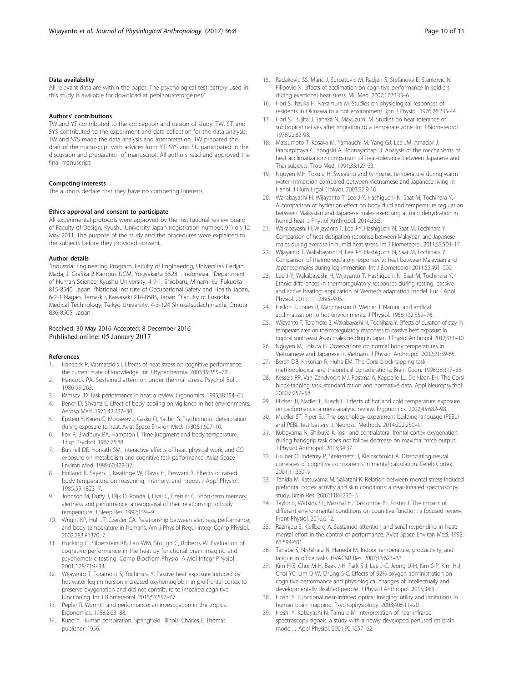## <span id="page-9-0"></span>Data availability

All relevant data are within the paper. The psychological test battery used in this study is available for download at pebl.sourceforge.net/

#### Authors' contributions

TW and YT contributed to the conception and design of study. TW, ST, and SYS contributed to the experiment and data collection for the data analysis. TW and SYS made the data analysis and interpretation. TW prepared the draft of the manuscript with advices from YT. SYS and SU participated in the discussion and preparation of manuscript. All authors read and approved the final manuscript.

#### Competing interests

The authors declare that they have no competing interests.

#### Ethics approval and consent to participate

All experimental protocols were approved by the institutional review board of Faculty of Design, Kyushu University Japan (registration number: 91) on 12 May 2011. The purpose of the study and the procedures were explained to the subjects before they provided consent.

#### Author details

<sup>1</sup>Industrial Engineering Program, Faculty of Engineering, Universitas Gadjah Mada, Jl Grafika 2 Kampus UGM, Yogyakarta 55281, Indonesia. <sup>2</sup>Department of Human Science, Kyushu University, 4-9-1, Shiobaru, Minami-ku, Fukuoka 815-8540, Japan. <sup>3</sup>National Institute of Occupational Safety and Health Japan, 6-2-1 Nagao, Tama-ku, Kawasaki 214-8585, Japan. <sup>4</sup>Faculty of Fukuoka Medical Technology, Teikyo University, 4-3-124 Shinkatsudachimachi, Omuta 836-8505, Japan.

## Received: 30 May 2016 Accepted: 8 December 2016 Published online: 05 January 2017

#### References

- 1. Hancock P, Vasmatzidis I. Effects of heat stress on cognitive performance: the current state of knowledge. Int J Hyperthermia. 2003;19:355–72.
- 2. Hancock PA. Sustained attention under thermal stress. Psychol Bull. 1986;99:263.
- Ramsey JD. Task performance in heat: a review. Ergonomics. 1995;38:154-65. 4. Benor D, Shvartz E. Effect of body cooling on vigilance in hot environments.
- Aerosp Med. 1971;42:727–30. 5. Epstein Y, Keren G, Moisseiev J, Gasko O, Yachin S. Psychomotor deterioration
- during exposure to heat. Aviat Space Environ Med. 1980;51:607–10.
- 6. Fox R, Bradbury PA, Hampton I. Time judgment and body temperature. J Exp Psychol. 1967;75:88.
- 7. Bunnell DE, Horvath SM. Interactive effects of heat, physical work, and CO exposure on metabolism and cognitive task performance. Aviat Space Environ Med. 1989;60:428-32.
- 8. Holland R, Sayers J, Keatinge W, Davis H, Peswani R. Effects of raised body temperature on reasoning, memory, and mood. J Appl Physiol. 1985;59:1823–7.
- Johnson M, Duffy J, Dijk D, Ronda J, Dyal C, Czeisler C. Short-term memory, alertness and performance: a reappraisal of their relationship to body temperature. J Sleep Res. 1992;1:24–9.
- 10. Wright KP, Hull JT, Czeisler CA. Relationship between alertness, performance, and body temperature in humans. Am J Physiol Regul Integr Comp Physiol. 2002;283:R1370–7.
- 11. Hocking C, Silberstein RB, Lau WM, Stough C, Roberts W. Evaluation of cognitive performance in the heat by functional brain imaging and psychometric testing. Comp Biochem Physiol A Mol Integr Physiol. 2001;128:719–34.
- 12. Wijayanto T, Toramoto S, Tochihara Y. Passive heat exposure induced by hot water leg immersion increased oxyhemoglobin in pre-frontal cortex to preserve oxygenation and did not contribute to impaired cognitive functioning. Int J Biometeorol. 2013;57:557–67.
- 13. Pepler R. Warmth and performance: an investigation in the tropics. Ergonomics. 1958;2:63–88.
- 14. Kuno Y. Human perspiration: Springfield. Illinois: Charles C Thomas publisher; 1956.
- 15. Radakovic SS, Maric J, Surbatovic M, Radjen S, Stefanova E, Stankovic N, Filipovic N. Effects of acclimation on cognitive performance in soldiers during exertional heat stress. Mil Med. 2007;172:133–6.
- 16. Hori S, Ihzuka H, Nakamura M. Studies on physiological responses of residents in Okinawa to a hot environment. Jpn J Physiol. 1976;26:235-44.
- 17. Hori S, Tsujita J, Tanaka N, Mayuzumi M. Studies on heat tolerance of subtropical natives after migration to a temperate zone. Int J Biometeorol. 1978;22:82-93.
- 18. Matsumoto T, Kosaka M, Yamauchi M, Yang GJ, Lee JM, Amador J, Praputpittaya C, Yongsiri A, Boonayathap U. Analysis of the mechanisms of heat acclimatization: comparison of heat-tolerance between Japanese and Thai subjects. Trop Med. 1991;33:127-33.
- 19. Nguyen MH, Tokura H. Sweating and tympanic temperature during warm water immersion compared between Vietnamese and Japanese living in Hanoi. J Hum Ergol (Tokyo). 2003;32:9-16.
- 20. Wakabayashi H, Wijayanto T, Lee J-Y, Hashiguchi N, Saat M, Tochihara Y. A comparison of hydration effect on body fluid and temperature regulation between Malaysian and Japanese males exercising at mild dehydration in humid heat. J Physiol Anthropol. 2014;33:5.
- 21. Wakabayashi H, Wijayanto T, Lee J-Y, Hashiguchi N, Saat M, Tochihara Y. Comparison of heat dissipation response between Malaysian and Japanese males during exercise in humid heat stress. Int J Biometeorol. 2011;55:509–17.
- 22. Wijayanto T, Wakabayashi H, Lee J-Y, Hashiguchi N, Saat M, Tochihara Y. Comparison of thermoregulatory responses to heat between Malaysian and Japanese males during leg immersion. Int J Biometeorol. 2011;55:491–500.
- 23. Lee J-Y, Wakabayashi H, Wijayanto T, Hashiguchi N, Saat M, Tochihara Y. Ethnic differences in thermoregulatory responses during resting, passive and active heating: application of Werner's adaptation model. Eur J Appl Physiol. 2011;111:2895–905.
- 24. Hellon R, Jones R, Macpherson R, Weiner J. Natural and artifical acclimatization to hot environments. J Physiol. 1956;132:559–76.
- 25. Wijayanto T, Toramoto S, Wakabayashi H, Tochihara Y. Effects of duration of stay in temperate area on thermoregulatory responses to passive heat exposure in tropical south-east Asian males residing in Japan. J Physiol Anthropol. 2012;31:1–10.
- 26. Nguyen M, Tokura H. Observations on normal body temperatures in Vietnamese and Japanese in Vietnam. J Physiol Anthropol. 2002;21:59-65.
- 27. Berch DB, Krikorian R, Huha EM. The Corsi block-tapping task: methodological and theoretical considerations. Brain Cogn. 1998;38:317–38.
- 28. Kessels RP, Van Zandvoort MJ, Postma A, Kappelle LJ, De Haan EH. The Corsi block-tapping task: standardization and normative data. Appl Neuropsychol. 2000;7:252–58.
- 29. Pilcher JJ, Nadler E, Busch C. Effects of hot and cold temperature exposure on performance: a meta-analytic review. Ergonomics. 2002;45:682–98.
- 30. Mueller ST, Piper BJ. The psychology experiment building language (PEBL) and PEBL test battery. J Neurosci Methods. 2014;222:250–9.
- 31. Kuboyama N, Shibuya K. Ipsi- and contralateral frontal cortex oxygenation during handgrip task does not follow decrease on maximal force output. J Physiol Anthropol. 2015;34:37.
- 32. Gruber O, Indefrey P, Steinmetz H, Kleinschmidt A. Dissociating neural correlates of cognitive components in mental calculation. Cereb Cortex. 2001;11:350–9.
- 33. Tanida M, Katsuyama M, Sakatani K. Relation between mental stress-induced prefrontal cortex activity and skin conditions: a near-infrared spectroscopy study. Brain Res. 2007;1184:210–6.
- 34. Taylor L, Watkins SL, Marshal H, Dascombe BJ, Foster J. The impact of different environmental conditions on cognitive function: a focused review. Front Physiol. 2016;6:12.
- 35. Razmjou S, Kjellberg A. Sustained attention and serial responding in heat: mental effort in the control of performance. Aviat Space Environ Med. 1992; 63:594-601.
- 36. Tanabe S, Nishihara N, Haneda M. Indoor temperature, productivity, and fatigue in office tasks. HVAC&R Res. 2007;13:623–33.
- 37. Kim H-S, Choi M-H, Baek J-H, Park S-J, Lee J-C, Jeong U-H, Kim S-P, Kim H-J, Choi YC, Lim D-W, Chung S-C. Effects of 92% oxygen administration on cognitive performance and physiological changes of intellectually and developmentally disabled people. J Physiol Anthropol. 2015;34:3.
- 38. Hoshi Y. Functional near-infrared optical imaging: utility and limitations in human brain mapping. Psychophysiology. 2003;40:511–20.
- 39. Hoshi Y, Kobayashi N, Tamura M. Interpretation of near-infrared spectroscopy signals: a study with a newly developed perfused rat brain model. J Appl Physiol. 2001;90:1657–62.